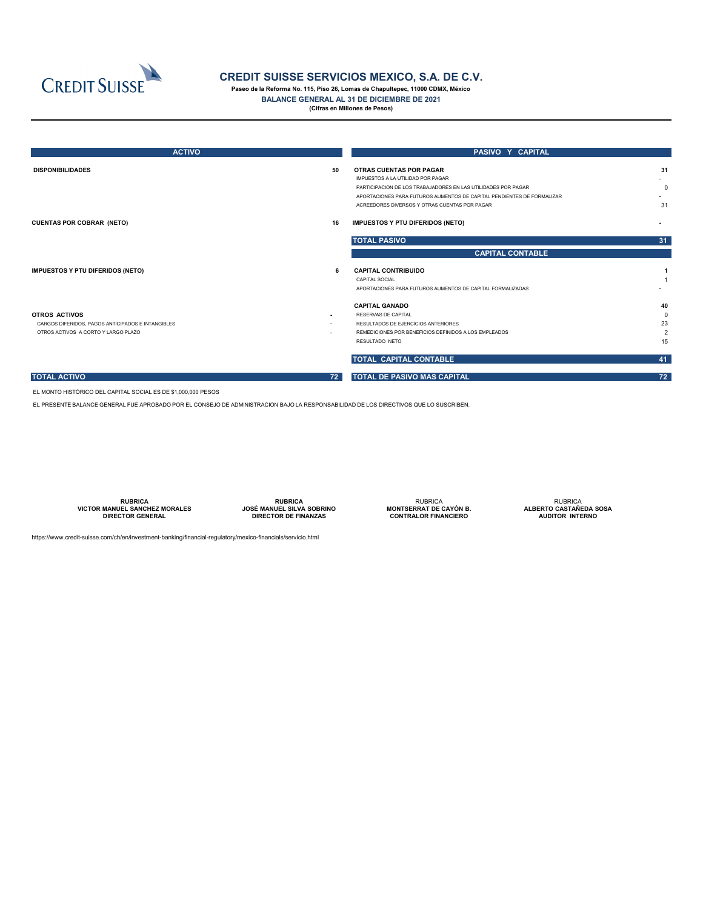| <b>ACTIVO</b>                                                                                                    |                          | PASIVO Y CAPITAL                                                                                                                                                                                               |                                                 |  |  |  |
|------------------------------------------------------------------------------------------------------------------|--------------------------|----------------------------------------------------------------------------------------------------------------------------------------------------------------------------------------------------------------|-------------------------------------------------|--|--|--|
| <b>DISPONIBILIDADES</b>                                                                                          | 50                       | <b>OTRAS CUENTAS POR PAGAR</b><br>IMPUESTOS A LA UTILIDAD POR PAGAR<br>PARTICIPACION DE LOS TRABAJADORES EN LAS UTILIDADES POR PAGAR<br>APORTACIONES PARA FUTUROS AUMENTOS DE CAPITAL PENDIENTES DE FORMALIZAR | 31<br>0                                         |  |  |  |
| <b>CUENTAS POR COBRAR (NETO)</b>                                                                                 | 16                       | ACREEDORES DIVERSOS Y OTRAS CUENTAS POR PAGAR<br><b>IMPUESTOS Y PTU DIFERIDOS (NETO)</b>                                                                                                                       | 31                                              |  |  |  |
|                                                                                                                  |                          | <b>TOTAL PASIVO</b>                                                                                                                                                                                            | 31                                              |  |  |  |
|                                                                                                                  |                          | <b>CAPITAL CONTABLE</b>                                                                                                                                                                                        |                                                 |  |  |  |
| <b>IMPUESTOS Y PTU DIFERIDOS (NETO)</b>                                                                          | -6                       | <b>CAPITAL CONTRIBUIDO</b><br><b>CAPITAL SOCIAL</b><br>APORTACIONES PARA FUTUROS AUMENTOS DE CAPITAL FORMALIZADAS                                                                                              |                                                 |  |  |  |
| <b>OTROS ACTIVOS</b><br>CARGOS DIFERIDOS, PAGOS ANTICIPADOS E INTANGIBLES<br>OTROS ACTIVOS A CORTO Y LARGO PLAZO | $\blacksquare$<br>$\sim$ | <b>CAPITAL GANADO</b><br>RESERVAS DE CAPITAL<br>RESULTADOS DE EJERCICIOS ANTERIORES<br>REMEDICIONES POR BENEFICIOS DEFINIDOS A LOS EMPLEADOS<br>RESULTADO NETO                                                 | 40<br>$\mathbf 0$<br>23<br>$\overline{2}$<br>15 |  |  |  |
|                                                                                                                  |                          | TOTAL CAPITAL CONTABLE                                                                                                                                                                                         | 41                                              |  |  |  |
| <b>TOTAL ACTIVO</b>                                                                                              | 72                       | <b>TOTAL DE PASIVO MAS CAPITAL</b>                                                                                                                                                                             | 72                                              |  |  |  |

**RUBRICA VICTOR MANUEL SANCHEZ MORALES DIRECTOR GENERAL** 

https://www.credit-suisse.com/ch/en/investment-banking/financial-regulatory/mexico-financials/servicio.html



## **CREDIT SUISSE SERVICIOS MEXICO, S.A. DE C.V.**

**Paseo de la Reforma No. 115, Piso 26, Lomas de Chapultepec, 11000 CDMX, México**

**BALANCE GENERAL AL 31 DE DICIEMBRE DE 2021**

**(Cifras en Millones de Pesos)**

EL MONTO HISTÓRICO DEL CAPITAL SOCIAL ES DE \$1,000,000 PESOS

EL PRESENTE BALANCE GENERAL FUE APROBADO POR EL CONSEJO DE ADMINISTRACION BAJO LA RESPONSABILIDAD DE LOS DIRECTIVOS QUE LO SUSCRIBEN.

**RUBRICA JOSÉ MANUEL SILVA SOBRINO ESPACIO ESPACIO ESPACIODIRECTOR DE FINANZAS**

RUBRICA **MONTSERRAT DE CAYÓN B. CONTRALOR FINANCIERO**

RUBRICA **ALBERTO CASTAÑEDA SOSA AUDITOR INTERNO**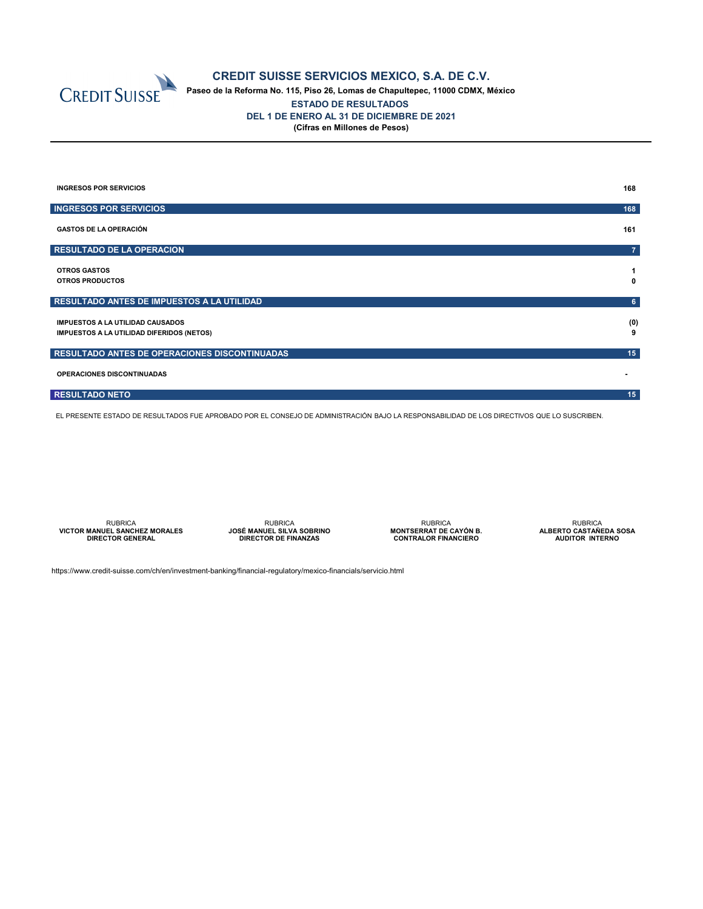

### **CREDIT SUISSE SERVICIOS MEXICO, S.A. DE C.V.**

**Paseo de la Reforma No. 115, Piso 26, Lomas de Chapultepec, 11000 CDMX, México ESTADO DE RESULTADOS DEL 1 DE ENERO AL 31 DE DICIEMBRE DE 2021 (Cifras en Millones de Pesos)**

| <b>INGRESOS POR SERVICIOS</b>                                                               | 168            |
|---------------------------------------------------------------------------------------------|----------------|
| <b>INGRESOS POR SERVICIOS</b>                                                               | 168            |
| <b>GASTOS DE LA OPERACIÓN</b>                                                               | 161            |
| <b>RESULTADO DE LA OPERACION</b>                                                            | $\overline{7}$ |
| <b>OTROS GASTOS</b><br><b>OTROS PRODUCTOS</b>                                               | $\mathbf 0$    |
| RESULTADO ANTES DE IMPUESTOS A LA UTILIDAD                                                  | 6 <sup>1</sup> |
| <b>IMPUESTOS A LA UTILIDAD CAUSADOS</b><br><b>IMPUESTOS A LA UTILIDAD DIFERIDOS (NETOS)</b> | (0)<br>9       |
| RESULTADO ANTES DE OPERACIONES DISCONTINUADAS                                               | 15             |
| <b>OPERACIONES DISCONTINUADAS</b>                                                           |                |
| <b>RESULTADO NETO</b>                                                                       | 15             |

EL PRESENTE ESTADO DE RESULTADOS FUE APROBADO POR EL CONSEJO DE ADMINISTRACIÓN BAJO LA RESPONSABILIDAD DE LOS DIRECTIVOS QUE LO SUSCRIBEN.

RUBRICA **VICTOR MANUEL SANCHEZ MORALES DIRECTOR GENERAL**

RUBRICA **JOSÉ MANUEL SILVA SOBRINO DIRECTOR DE FINANZAS ESPACIOLS AND ASSESSED ASSESSED ASSESSED AND THE CONSTRUCT OF SPACIOLS AND HOSPITAL SERVICE SERVICE SERVICE SERVICE SERVICE SERVICE SERVICE SERVICE SERVICE SERVICE SERVICE SERVICE SERVICE SERVICE SERVICE SERVICE SERVICE S** 

RUBRICA **MONTSERRAT DE CAYÓN B. CONTRALOR FINANCIERO**

RUBRICA **ALBERTO CASTAÑEDA SOSA AUDITOR INTERNO**

https://www.credit-suisse.com/ch/en/investment-banking/financial-regulatory/mexico-financials/servicio.html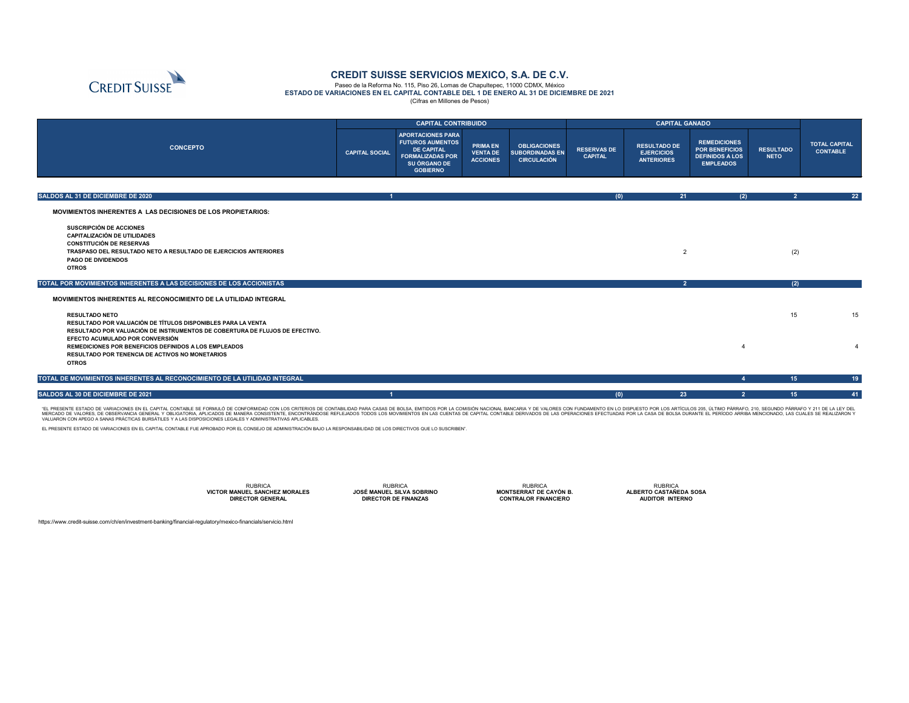|                                                                                                                                                                                                         | <b>CAPITAL CONTRIBUIDO</b> |                                                                                                                                        |                                                |                                                                     | <b>CAPITAL GANADO</b>                |                                                               |                                                                                            |                                 |                                         |
|---------------------------------------------------------------------------------------------------------------------------------------------------------------------------------------------------------|----------------------------|----------------------------------------------------------------------------------------------------------------------------------------|------------------------------------------------|---------------------------------------------------------------------|--------------------------------------|---------------------------------------------------------------|--------------------------------------------------------------------------------------------|---------------------------------|-----------------------------------------|
| <b>CONCEPTO</b>                                                                                                                                                                                         | <b>CAPITAL SOCIAL</b>      | <b>APORTACIONES PARA</b><br><b>FUTUROS AUMENTOS</b><br><b>DE CAPITAL</b><br><b>FORMALIZADAS POR</b><br>SU ÓRGANO DE<br><b>GOBIERNO</b> | <b>PRIMA EN</b><br>VENTA DE<br><b>ACCIONES</b> | <b>OBLIGACIONES</b><br><b>SUBORDINADAS EN</b><br><b>CIRCULACIÓN</b> | <b>RESERVAS DE</b><br><b>CAPITAL</b> | <b>RESULTADO DE</b><br><b>EJERCICIOS</b><br><b>ANTERIORES</b> | <b>REMEDICIONES</b><br><b>POR BENEFICIOS</b><br><b>DEFINIDOS A LOS</b><br><b>EMPLEADOS</b> | <b>RESULTADO</b><br><b>NETO</b> | <b>TOTAL CAPITAL</b><br><b>CONTABLE</b> |
|                                                                                                                                                                                                         |                            |                                                                                                                                        |                                                |                                                                     |                                      |                                                               |                                                                                            |                                 |                                         |
| SALDOS AL 31 DE DICIEMBRE DE 2020                                                                                                                                                                       |                            |                                                                                                                                        |                                                |                                                                     | (0)                                  | 21                                                            | (2)                                                                                        | $\overline{2}$                  | 22                                      |
| <b>MOVIMIENTOS INHERENTES A LAS DECISIONES DE LOS PROPIETARIOS:</b>                                                                                                                                     |                            |                                                                                                                                        |                                                |                                                                     |                                      |                                                               |                                                                                            |                                 |                                         |
| <b>SUSCRIPCIÓN DE ACCIONES</b><br><b>CAPITALIZACIÓN DE UTILIDADES</b><br><b>CONSTITUCIÓN DE RESERVAS</b><br><b>TRASPASO DEL RESULTADO NETO A RESULTADO DE EJERCICIOS ANTERIORES</b>                     |                            |                                                                                                                                        |                                                |                                                                     |                                      | $\overline{2}$                                                |                                                                                            | (2)                             |                                         |
| <b>PAGO DE DIVIDENDOS</b><br><b>OTROS</b>                                                                                                                                                               |                            |                                                                                                                                        |                                                |                                                                     |                                      |                                                               |                                                                                            |                                 |                                         |
| TOTAL POR MOVIMIENTOS INHERENTES A LAS DECISIONES DE LOS ACCIONISTAS                                                                                                                                    |                            |                                                                                                                                        |                                                |                                                                     |                                      | $\overline{2}$                                                |                                                                                            | (2)                             |                                         |
| MOVIMIENTOS INHERENTES AL RECONOCIMIENTO DE LA UTILIDAD INTEGRAL                                                                                                                                        |                            |                                                                                                                                        |                                                |                                                                     |                                      |                                                               |                                                                                            |                                 |                                         |
| <b>RESULTADO NETO</b><br>RESULTADO POR VALUACIÓN DE TÍTULOS DISPONIBLES PARA LA VENTA<br>RESULTADO POR VALUACIÓN DE INSTRUMENTOS DE COBERTURA DE FLUJOS DE EFECTIVO.<br>EFECTO ACUMULADO POR CONVERSIÓN |                            |                                                                                                                                        |                                                |                                                                     |                                      |                                                               |                                                                                            | 15                              | 15                                      |
| <b>REMEDICIONES POR BENEFICIOS DEFINIDOS A LOS EMPLEADOS</b><br>RESULTADO POR TENENCIA DE ACTIVOS NO MONETARIOS<br><b>OTROS</b>                                                                         |                            |                                                                                                                                        |                                                |                                                                     |                                      |                                                               |                                                                                            |                                 |                                         |
| TOTAL DE MOVIMIENTOS INHERENTES AL RECONOCIMIENTO DE LA UTILIDAD INTEGRAL                                                                                                                               |                            |                                                                                                                                        |                                                |                                                                     |                                      |                                                               | $\boldsymbol{4}$                                                                           | 15                              | 19                                      |
| <b>SALDOS AL 30 DE DICIEMBRE DE 2021</b>                                                                                                                                                                | $\blacktriangleleft$       |                                                                                                                                        |                                                |                                                                     | (0)                                  | 23                                                            | 2 <sub>2</sub>                                                                             | 15                              | 41                                      |

"EL PRESENTE ESTADO DE VARIACIONES EN EL CAPITAL CONTABLE SE FORMULO DE CONFORMIDAD CON LOS CRITERIOS DE CONTABILIDAD PARA CASAS DE BOLSA, EMITIDOS POR LA COMISION NACIONAL BANCARIA Y DE VALORES CON FUNDAMENTO EN LO DISPUE ALORES, DE OBSERVANCIA GENERAL Y OBLIGATORIA, APLICADOS DE MANERA CONSISTENTE, ENCONTRANDOSE REFLEJADOS TODOS LOS MOVIMIENTOS EN LAS CUENTAS DE CAPITAL CONTABLE DERIVADOS DE LAS OPERACIONES EFECTUADAS POR LA CASA DE BOLSA VALUARON CON APEGO A SANAS PRACTICAS BURSATILES Y A LAS DISPOSICIONES LEGALES Y ADMINISTRATIVAS APLICABLES.

https://www.credit-suisse.com/ch/en/investment-banking/financial-regulatory/mexico-financials/servicio.html



# **CREDIT SUISSE SERVICIOS MEXICO, S.A. DE C.V.**

Paseo de la Reforma No. 115, Piso 26, Lomas de Chapultepec, 11000 CDMX, México **ESTADO DE VARIACIONES EN EL CAPITAL CONTABLE DEL 1 DE ENERO AL 31 DE DICIEMBRE DE 2021** (Cifras en Millones de Pesos)

EL PRESENTE ESTADO DE VARIACIONES EN EL CAPITAL CONTABLE FUE APROBADO POR EL CONSEJO DE ADMINISTRACIÓN BAJO LA RESPONSABILIDAD DE LOS DIRECTIVOS QUE LO SUSCRIBEN".

RUBRICA **VICTOR MANUEL SANCHEZ MORALES DIRECTOR GENERAL**

RUBRICA **JOSÉ MANUEL SILVA SOBRINO ESPACIO ESPACIO ESPACIODIRECTOR DE FINANZAS**

RUBRICA **MONTSERRAT DE CAYÓN B. CONTRALOR FINANCIERO**

RUBRICA **ALBERTO CASTAÑEDA SOSA AUDITOR INTERNO**